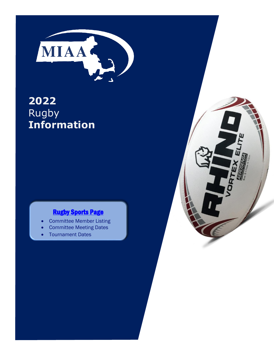

# **2022** Rugby **Information**

## **[Rugby Sports Page](http://miaa.net/contentm/easy_pages/view.php?page_id=264&sid=38&menu_id=278)**

- Committee Member Listing
- Committee Meeting Dates
- Tournament Dates

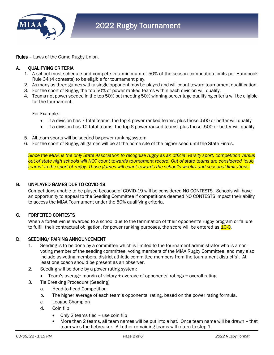

Rules – Laws of the Game Rugby Union.

#### A. QUALIFYING CRITERIA

- 1. A school must schedule and compete in a minimum of 50% of the season competition limits per Handbook Rule 34 (4 contests) to be eligible for tournament play.
- 2. As many as three games with a single opponent may be played and will count toward tournament qualification.
- 3. For the sport of Rugby, the top 50% of power ranked teams within each division will qualify.
- 4. Teams not power seeded in the top 50% but meeting 50% winning percentage qualifying criteria will be eligible for the tournament.

For Example:

- If a division has 7 total teams, the top 4 power ranked teams, plus those .500 or better will qualify
- If a division has 12 total teams, the top 6 power ranked teams, plus those .500 or better will qualify
- 5. All team sports will be seeded by power ranking system
- 6. For the sport of Rugby, all games will be at the home site of the higher seed until the State Finals.

*Since the MIAA is the only State Association to recognize rugby as an official varsity sport, competition versus out of state high schools will NOT count towards tournament record. Out of state teams are considered "club teams" in the sport of rugby. Those games will count towards the school's weekly and seasonal limitations.*

#### B. UNPLAYED GAMES DUE TO COVID-19

Competitions unable to be played because of COVID-19 will be considered NO CONTESTS. Schools will have an opportunity to appeal to the Seeding Committee if competitions deemed NO CONTESTS impact their ability to access the MIAA Tournament under the 50% qualifying criteria.

#### C. FORFEITED CONTESTS

When a forfeit win is awarded to a school due to the termination of their opponent's rugby program or failure to fulfill their contractual obligation, for power ranking purposes, the score will be entered as 10-0.

#### D. SEEDING/ PAIRING ANNOUNCEMENT

- 1. Seeding is to be done by a committee which is limited to the tournament administrator who is a nonvoting member of the seeding committee, voting members of the MIAA Rugby Committee, and may also include as voting members, district athletic committee members from the tournament district(s). At least one coach should be present as an observer.
- 2. Seeding will be done by a power rating system:
	- Team's average margin of victory + average of opponents' ratings = overall rating
- 3. Tie Breaking Procedure (Seeding)
	- a. Head-to-head Competition
	- b. The higher average of each team's opponents' rating, based on the power rating formula.
	- c. League Champion
	- d. Coin flip
		- Only 2 teams tied use coin flip
		- More than 2 teams, all team names will be put into a hat. Once team name will be drawn that team wins the tiebreaker. All other remaining teams will return to step 1.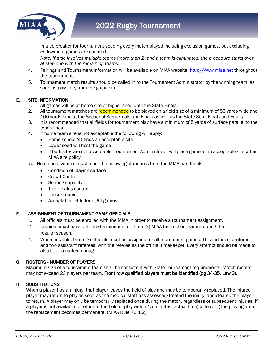

In a tie breaker for tournament seeding every match played including exclusion games, but excluding endowment games are counted.

*Note: If a tie involves multiple teams (more than 2) and a team is eliminated, the procedure starts over at step one with the remaining teams.*

- 4. Pairings and Tournament Information will be available on MIAA website, [http://www.miaa.net](http://www.miaa.net/) throughout the tournament.
- 5. Tournament match results should be called in to the Tournament Administrator by the winning team, as soon as possible, from the game site.

#### E. SITE INFORMATION

- 1. All games will be at home site of higher seed until the State Finals.
- 2. All tournament matches are recommended to be played on a field size of a minimum of 55 yards wide and 100 yards long at the Sectional Semi-Finals and Finals as well as the State Semi-Finals and Finals.
- 3. It is recommended that all fields for tournament play have a minimum of 5 yards of surface parallel to the touch lines.
- 4. If home team site is not acceptable the following will apply:
	- Home school AD finds an acceptable site
	- Lower seed will host the game
	- If both sites are not acceptable, Tournament Administrator will place game at an acceptable site within MIAA site policy
- 5. Home field venues must meet the following standards from the MIAA handbook:
	- Condition of playing surface
	- Crowd Control
	- Seating capacity
	- Ticket sales control
	- Locker rooms
	- Acceptable lights for night games

#### F. ASSIGNMENT OF TOURNAMENT GAME OFFICIALS

- 1. All officials must be enrolled with the MIAA in order to receive a tournament assignment.
- 2. Umpires must have officiated a minimum of three (3) MIAA high school games during the regular season.
- 1. When possible, three (3) officials must be assigned for all tournament games. This includes a referee and two assistant referees, with the referee as the official timekeeper. Every attempt should be made to also have a match manager.

#### G. ROSTERS - NUMBER OF PLAYERS

Maximum size of a tournament team shall be consistent with State Tournament requirements. Match rosters may not exceed 23 players per team. Front row qualified players must be identified (pg 34-35, Law 3).

#### H. SUBSTITUTIONS

When a player has an injury, that player leaves the field of play and may be temporarily replaced. The injured player may return to play as soon as the medical staff has assessed/treated the injury, and cleared the player to return. A player may only be temporarily replaced once during the match, regardless of subsequent injuries. If a player is not available to return to the field of play within 15 minutes (actual time) of leaving the playing area, the replacement becomes permanent. (MIAA Rule 76.1.2)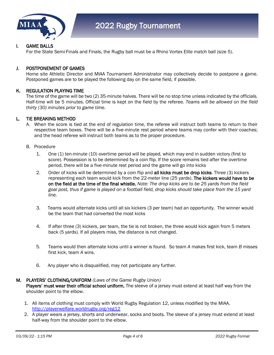

#### I. GAME BALLS

For the State Semi-Finals and Finals, the Rugby ball must be a Rhino Vortex Elite match ball (size 5).

#### J. POSTPONEMENT OF GAMES

 Home site Athletic Director and MIAA Tournament Administrator may collectively decide to postpone a game. Postponed games are to be played the following day on the same field, if possible.

#### K. REGULATION PLAYING TIME

 The time of the game will be two (2) 35-minute halves. There will be no stop time unless indicated by the officials. Half-time will be 5 minutes. Official time is kept on the field by the referee. *Teams will be allowed on the field thirty (30) minutes prior to game time.* 

#### L. TIE BREAKING METHOD

- A. When the score is tied at the end of regulation time, the referee will instruct both teams to return to their respective team boxes. There will be a five-minute rest period where teams may confer with their coaches; and the head referee will instruct both teams as to the proper procedure.
- B. Procedure
	- 1. One (1) ten-minute (10) overtime period will be played, which may end in sudden victory (first to score). Possession is to be determined by a coin flip. If the score remains tied after the overtime period, there will be a five-minute rest period and the game will go into kicks
	- 2. Order of kicks will be determined by a coin flip and all kicks must be drop kicks. Three (3) kickers representing each team would kick from the 22-meter line (25 yards). The kickers would have to be on the field at the time of the final whistle. *Note: The drop kicks are to be 25 yards from the field goal post, thus if game is played on a football field, drop kicks should take place from the 15 yard line.*
	- 3. Teams would alternate kicks until all six kickers (3 per team) had an opportunity. The winner would be the team that had converted the most kicks
	- 4. If after three (3) kickers, per team, the tie is not broken, the three would kick again from 5 meters back (5 yards). If all players miss, the distance is not changed.
	- 5. Teams would then alternate kicks until a winner is found. So team *A* makes first kick, team *B* misses first kick, team *A* wins.
	- 6. Any player who is disqualified, may not participate any further.

#### M. PLAYERS' CLOTHING/UNIFORM *(Laws of the Game Rugby Union)* Players' must wear their official school uniform. The sleeve of a jersey must extend at least half way from the shoulder point to the elbow.

- 1. All items of clothing must comply with World Rugby Regulation 12, unless modified by the MIAA. <http://playerwelfare.worldrugby.org/reg12>
- 2. A player wears a jersey, shorts and underwear, socks and boots. The sleeve of a jersey must extend at least half-way from the shoulder point to the elbow.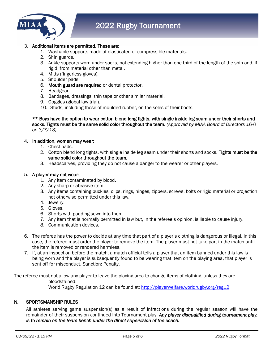

#### 3. Additional items are permitted. These are:

- 1. Washable supports made of elasticated or compressible materials.
- 2. Shin guards.
- 3. Ankle supports worn under socks, not extending higher than one third of the length of the shin and, if rigid, from material other than metal.
- 4. Mitts (fingerless gloves).
- 5. Shoulder pads.
- 6. Mouth guard are required or dental protector.
- 7. Headgear.
- 8. Bandages, dressings, thin tape or other similar material.
- 9. Goggles (global law trial).
- 10. Studs, including those of moulded rubber, on the soles of their boots.

\*\* Boys have the option to wear cotton blend long tights, with single inside leg seam under their shorts and socks. Tights must be the same solid color throughout the team. *(Approved by MIAA Board of Directors 16-0 on 3/7/18).*

#### 4. In addition, women may wear:

- 1. Chest pads.
- 2. Cotton blend long tights, with single inside leg seam under their shorts and socks. Tights must be the same solid color throughout the team.
- 3. Headscarves, providing they do not cause a danger to the wearer or other players.

#### 5. A player may not wear:

- 1. Any item contaminated by blood.
- 2. Any sharp or abrasive item.
- 3. Any items containing buckles, clips, rings, hinges, zippers, screws, bolts or rigid material or projection not otherwise permitted under this law.
- 4. Jewelry.
- 5. Gloves.
- 6. Shorts with padding sewn into them.
- 7. Any item that is normally permitted in law but, in the referee's opinion, is liable to cause injury.
- 8. Communication devices.
- 6. The referee has the power to decide at any time that part of a player's clothing is dangerous or illegal. In this case, the referee must order the player to remove the item. The player must not take part in the match until the item is removed or rendered harmless.
- 7. If, at an inspection before the match, a match official tells a player that an item banned under this law is being worn and the player is subsequently found to be wearing that item on the playing area, that player is sent off for misconduct. Sanction: Penalty.

The referee must not allow any player to leave the playing area to change items of clothing, unless they are bloodstained. World Rugby Regulation 12 can be found at: <http://playerwelfare.worldrugby.org/reg12>

### N. SPORTSMANSHIP RULES

All athletes serving game suspension(s) as a result of infractions during the regular season will have the remainder of their suspension continued into Tournament play. *Any player disqualified during tournament play, is to remain on the team bench under the direct supervision of the coach.*